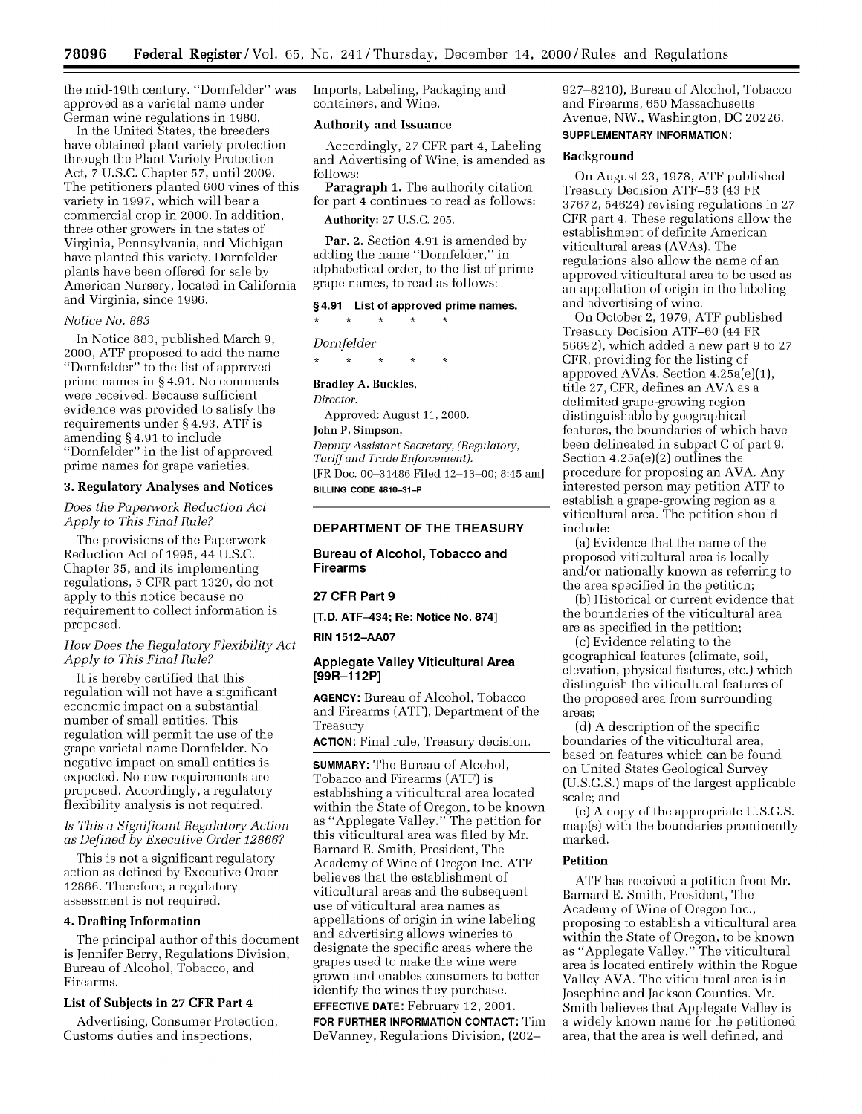the mid-19th century. "Dornfelder" was approved as a varietal name under German wine regulations in **1980.**

In the United States, the breeders have obtained plant variety protection through the Plant Variety Protection Act, *7* U.S.C. Chapter **57,** until 2009. The petitioners planted 600 vines of this variety in **1997,** which will bear a commercial crop in 2000. In addition, three other growers in the states of Virginia, Pennsylvania, and Michigan have planted this variety. Dornfelder plants have been offered for sale by American Nursery, located in California and Virginia, since 1996.

### *Notice No. 883*

In Notice 883, published March 9, 2000, ATF proposed to add the name "Dornfelder" to the list of approved prime names in § 4.91. No comments were received. Because sufficient evidence was provided to satisfy the requirements under § 4.93, ATF is amending § 4.91 to include "Dornfelder" in the list of approved prime names for grape varieties.

### **3. Regulatory** Analyses and Notices

*Does the Paperwork Reduction Act Apply to This Final Rule?*

The provisions of the Paperwork Reduction Act of 1995, 44 U.S.C. Chapter 35, and its implementing regulations, **5** CFR part 1320, do not apply to this notice because no requirement to collect information is proposed.

### *How Does the Regulatory Flexibility Act Apply to This Final Rule?*

It is hereby certified that this regulation will not have a significant economic impact on a substantial number of small entities. This regulation will permit the use of the grape varietal name Dornfelder. No negative impact on small entities is expected. No new requirements are proposed. Accordingly, a regulatory flexibility analysis is not required.

### *Is This a Significant Regulatory Action as Defined by Executive Order 12866?*

This is not a significant regulatory action as defined by Executive Order 12866. Therefore, a regulatory assessment is not required.

### **4. Drafting Information**

The principal author of this document is Jennifer Berry, Regulations Division, Bureau of Alcohol, Tobacco, and Firearms.

#### **List of Subjects in 27 CFR Part 4**

Advertising, Consumer Protection, Customs duties and inspections,

Imports, Labeling, Packaging and containers, and Wine.

## **Authority and Issuance**

Accordingly, 27 CFR part 4, Labeling and Advertising of Wine, is amended as follows:

**Paragraph 1.** The authority citation for part 4 continues to read as follows:

**Authority:** 27 U.S.C. 205.

Par. 2. Section 4.91 is amended by adding the name "Dornfelder," in alphabetical order, to the list of prime grape names, to read as follows:

### **§4.91 List of approved prime names.**

### *Dornfelder*

### **Bradley A. Buckles,**

*Director.*

Approved: August 11, 2000.

## **John P. Simpson,**

*Deputy Assistant Secretary, (Regulatory, Tariff and Trade Enforcement).* [FR Doc. 00-31486 Filed 12-13-00; 8:45 am] **BILLING CODE 4810-31-P**

## **DEPARTMENT OF THE TREASURY**

# **Bureau of Alcohol, Tobacco and Firearms**

### **27 CFR Part 9**

**[T.D. ATF-434; Re: Notice No. 874]**

### **RIN 1512-AA07**

### **Applegate Valley Viticultural Area [99R-112P]**

**AGENCY:** Bureau of Alcohol, Tobacco and Firearms (ATF), Department of the Treasury.

**ACTION:** Final rule, Treasury decision.

**SUMMARY:** The Bureau of Alcohol, Tobacco and Firearms (ATF) is establishing a viticultural area located within the State of Oregon, to be known as "Applegate Valley." The petition for this viticultural area was filed by Mr. Barnard E. Smith, President, The Academy of Wine of Oregon Inc. ATF believes that the establishment of viticultural areas and the subsequent use of viticultural area names as appellations of origin in wine labeling and advertising allows wineries to designate the specific areas where the grapes used to make the wine were grown and enables consumers to better identify the wines they purchase.

**EFFECTIVE DATE:** February 12, 2001. **FOR FURTHER INFORMATION CONTACT:** Tim DeVanney, Regulations Division, (202927-8210), Bureau of Alcohol, Tobacco and Firearms, 650 Massachusetts Avenue, NW., Washington, DC 20226.

## **SUPPLEMENTARY INFORMATION:**

### **Background**

On August 23, 1978, ATF published Treasury Decision ATF-53 (43 FR 37672, 54624) revising regulations in 27 CFR part 4. These regulations allow the establishment of definite American viticultural areas (AVAs). The regulations also allow the name of an approved viticultural area to be used as an appellation of origin in the labeling and advertising of wine.

On October 2, 1979, ATF published Treasury Decision ATF-60 (44 FR 56692), which added a new part 9 to 27 CFR, providing for the listing of approved AVAs. Section 4.25a(e)(1), title 27, CFR, defines an AVA as a delimited grape-growing region distinguishable by geographical features, the boundaries of which have been delineated in subpart C of part 9. Section  $4.25a(e)(2)$  outlines the procedure for proposing an AVA. Any interested person may petition ATF to establish a grape-growing region as a viticultural area. The petition should include:

(a) Evidence that the name of the proposed viticultural area is locally and/or nationally known as referring to the area specified in the petition;

(b) Historical or current evidence that the boundaries of the viticultural area are as specified in the petition;

(c) Evidence relating to the geographical features (climate, soil, elevation, physical features, etc.) which distinguish the viticultural features of the proposed area from surrounding areas;

(d) A description of the specific boundaries of the viticultural area, based on features which can be found on United States Geological Survey (U.S.G.S.) maps of the largest applicable scale; and

(e) A copy of the appropriate U.S.G.S. map(s) with the boundaries prominently marked.

#### **Petition**

ATF has received a petition from Mr. Barnard E. Smith, President, The Academy of Wine of Oregon Inc., proposing to establish a viticultural area within the State of Oregon, to be known as "Applegate Valley." The viticultural area is located entirely within the Rogue Valley AVA. The viticultural area is in Josephine and Jackson Counties. Mr. Smith believes that Applegate Valley is a widely known name for the petitioned area, that the area is well defined, and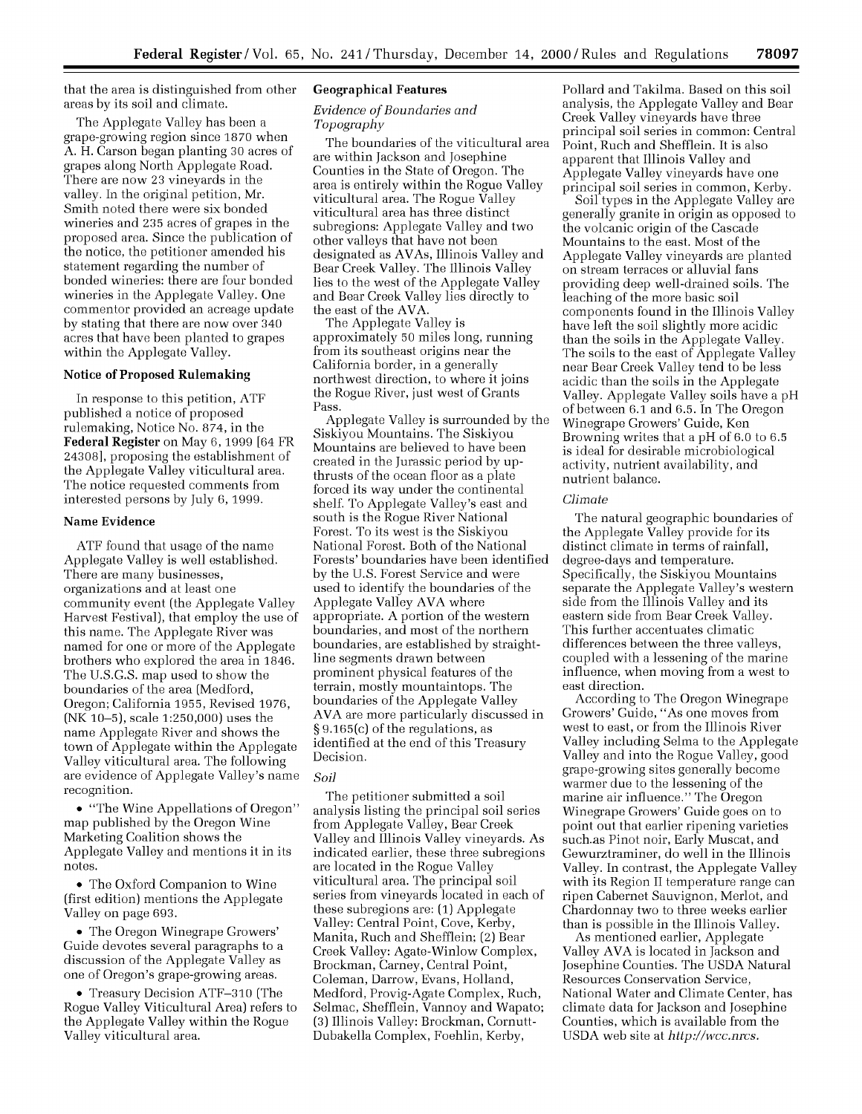that the area is distinguished from other areas by its soil and climate.

The Applegate Valley has been a grape-growing region since 1870 when A. H. Carson began planting 30 acres of grapes along North Applegate Road. There are now 23 vineyards in the valley. In the original petition, Mr. Smith noted there were six bonded wineries and 235 acres of grapes in the proposed area. Since the publication of the notice, the petitioner amended his statement regarding the number of bonded wineries: there are four bonded wineries in the Applegate Valley. One commentor provided an acreage update by stating that there are now over 340 acres that have been planted to grapes within the Applegate Valley.

## Notice of Proposed Rulemaking

In response to this petition, ATF published a notice of proposed rulemaking, Notice No. 874, in the **Federal Register** on May 6, 1999 [64 FR 24308], proposing the establishment of the Applegate Valley viticultural area. The notice requested comments from interested persons by July 6, 1999.

## Name **Evidence**

ATF found that usage of the name Applegate Valley is well established. There are many businesses, organizations and at least one community event (the Applegate Valley Harvest Festival), that employ the use of this name. The Applegate River was named for one or more of the Applegate brothers who explored the area in 1846. The U.S.G.S. map used to show the boundaries of the area (Medford, Oregon; California 1955, Revised 1976, (NK 10-5), scale 1:250,000) uses the name Applegate River and shows the town of Applegate within the Applegate Valley viticultural area. The following are evidence of Applegate Valley's name recognition.

\* "The Wine Appellations of Oregon" map published by the Oregon Wine Marketing Coalition shows the Applegate Valley and mentions it in its notes.

• The Oxford Companion to Wine (first edition) mentions the Applegate Valley on page 693.

\* The Oregon Winegrape Growers' Guide devotes several paragraphs to a discussion of the Applegate Valley as one of Oregon's grape-growing areas.

• Treasury Decision ATF-310 (The Rogue Valley Viticultural Area) refers to the Applegate Valley within the Rogue Valley viticultural area.

#### **Geographical Features**

### *Evidence of Boundaries and Topography*

The boundaries of the viticultural area are within Jackson and Josephine Counties in the State of Oregon. The area is entirely within the Rogue Valley viticultural area. The Rogue Valley viticultural area has three distinct subregions: Applegate Valley and two other valleys that have not been designated as AVAs, Illinois Valley and Bear Creek Valley. The Illinois Valley lies to the west of the Applegate Valley and Bear Creek Valley lies directly to the east of the AVA.

The Applegate Valley is approximately 50 miles long, running from its southeast origins near the California border, in a generally northwest direction, to where it joins the Rogue River, just west of Grants Pass.

Applegate Valley is surrounded by the Siskiyou Mountains. The Siskiyou Mountains are believed to have been created in the Jurassic period by upthrusts of the ocean floor as a plate forced its way under the continental shelf. To Applegate Valley's east and south is the Rogue River National Forest. To its west is the Siskiyou National Forest. Both of the National Forests' boundaries have been identified by the U.S. Forest Service and were used to identify the boundaries of the Applegate Valley AVA where appropriate. A portion of the western boundaries, and most of the northern boundaries, are established by straightline segments drawn between prominent physical features of the terrain, mostly mountaintops. The boundaries of the Applegate Valley AVA are more particularly discussed in § 9.165(c) of the regulations, as identified at the end of this Treasury Decision.

## *Soil*

The petitioner submitted a soil analysis listing the principal soil series from Applegate Valley, Bear Creek Valley and Illinois Valley vineyards. As indicated earlier, these three subregions are located in the Rogue Valley viticultural area. The principal soil series from vineyards located in each of these subregions are: (1) Applegate Valley: Central Point, Cove, Kerby, Manita, Ruch and Shefflein; (2) Bear Creek Valley: Agate-Winlow Complex, Brockman, Carney, Central Point, Coleman, Darrow, Evans, Holland, Medford, Provig-Agate Complex, Ruch, Selmac, Shefflein, Vannoy and Wapato; (3) Illinois Valley: Brockman, Cornutt-Dubakella Complex, Foehlin, Kerby,

Pollard and Takilma. Based on this soil analysis, the Applegate Valley and Bear Creek Valley vineyards have three principal soil series in common: Central Point, Ruch and Shefflein. It is also apparent that Illinois Valley and Applegate Valley vineyards have one principal soil series in common, Kerby.

Soil types in the Applegate Valley are generally granite in origin as opposed to the volcanic origin of the Cascade Mountains to the east. Most of the Applegate Valley vineyards are planted on stream terraces or alluvial fans providing deep well-drained soils. The leaching of the more basic soil components found in the Illinois Valley have left the soil slightly more acidic than the soils in the Applegate Valley. The soils to the east of Applegate Valley near Bear Creek Valley tend to be less acidic than the soils in the Applegate Valley. Applegate Valley soils have a pH of between 6.1 and 6.5. In The Oregon Winegrape Growers' Guide, Ken Browning writes that a pH of 6.0 to 6.5 is ideal for desirable microbiological activity, nutrient availability, and nutrient balance.

#### *Climate*

The natural geographic boundaries of the Applegate Valley provide for its distinct climate in terms of rainfall, degree-days and temperature. Specifically, the Siskiyou Mountains separate the Applegate Valley's western side from the Illinois Valley and its eastern side from Bear Creek Valley. This further accentuates climatic differences between the three valleys, coupled with a lessening of the marine influence, when moving from a west to east direction.

According to The Oregon Winegrape Growers' Guide, "As one moves from west to east, or from the Illinois River Valley including Selma to the Applegate Valley and into the Rogue Valley, good grape-growing sites generally become warmer due to the lessening of the marine air influence." The Oregon Winegrape Growers' Guide goes on to point out that earlier ripening varieties such.as Pinot noir, Early Muscat, and Gewurztraminer, do well in the Illinois Valley. In contrast, the Applegate Valley with its Region II temperature range can ripen Cabernet Sauvignon, Merlot, and Chardonnay two to three weeks earlier than is possible in the Illinois Valley.

As mentioned earlier, Applegate Valley AVA is located in Jackson and Josephine Counties. The USDA Natural Resources Conservation Service, National Water and Climate Center, has climate data for Jackson and Josephine Counties, which is available from the USDA web site at *http://wcc.nrcs.*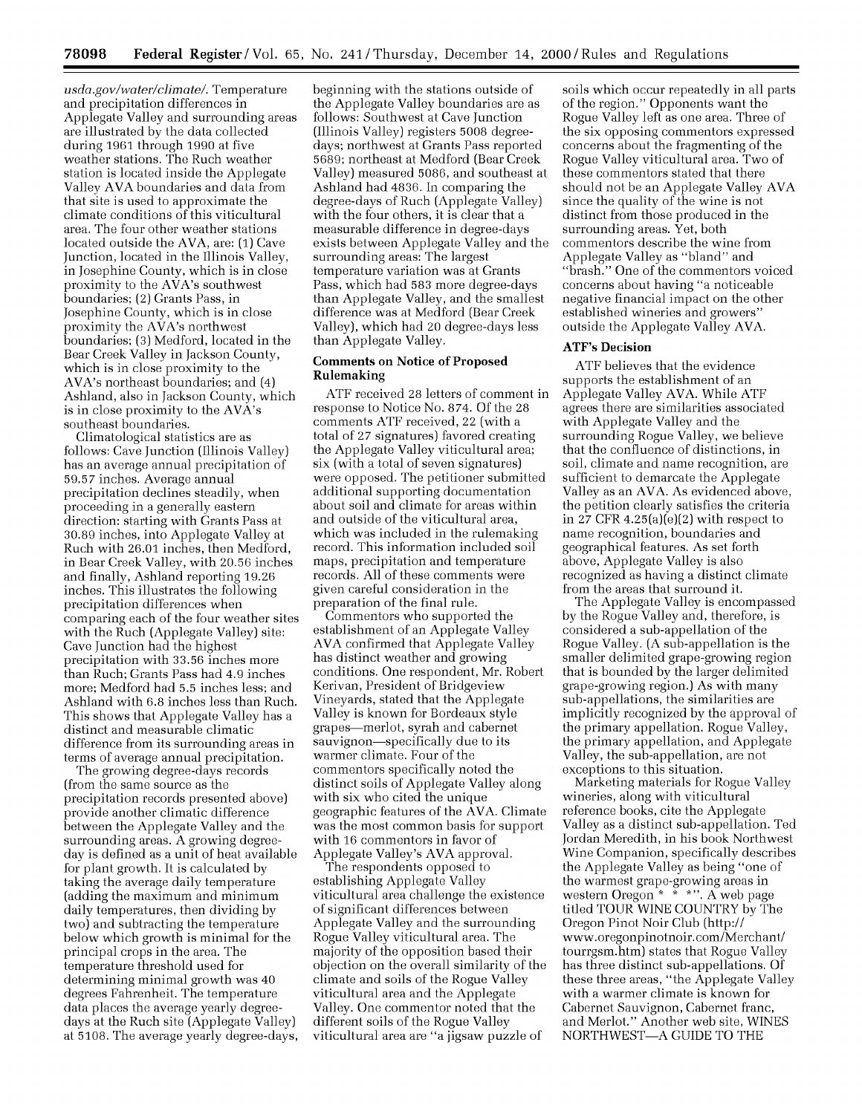*usda.gov/water/climate/.* Temperature and precipitation differences in Applegate Valley and surrounding areas are illustrated by the data collected during 1961 through **1990** at five weather stations. The Ruch weather station is located inside the Applegate Valley AVA boundaries and data from that site is used to approximate the climate conditions of this viticultural area. The four other weather stations located outside the AVA, are: (1) Cave Junction, located in the Illinois Valley, in Josephine County, which is in close proximity to the AVA's southwest boundaries; (2) Grants Pass, in Josephine County, which is in close proximity the AVA's northwest boundaries; **(3)** Medford, located in the Bear Creek Valley in Jackson County, which is in close proximity to the AVA's northeast boundaries; and (4) Ashland, also in Jackson County, which is in close proximity to the AVA's southeast boundaries.

Climatological statistics are as follows: Cave Junction (Illinois Valley) has an average annual precipitation of **59.57** inches. Average annual precipitation declines steadily, when proceeding in a generally eastern direction: starting with Grants Pass at **30.89** inches, into Applegate Valley at Ruch with 26.01 inches, then Medford, in Bear Creek Valley, with **20.56** inches and finally, Ashland reporting 19.26 inches. This illustrates the following precipitation differences when comparing each of the four weather sites with the Ruch (Applegate Valley) site: Cave Junction had the highest precipitation with **33.56** inches more than Ruch; Grants Pass had 4.9 inches more; Medford had **5.5** inches less; and Ashland with **6.8** inches less than Ruch. This shows that Applegate Valley has a distinct and measurable climatic difference from its surrounding areas in terms of average annual precipitation.

The growing degree-days records (from the same source as the precipitation records presented above) provide another climatic difference between the Applegate Valley and the surrounding areas. A growing degreeday is defined as a unit of heat available for plant growth. It is calculated by taking the average daily temperature (adding the maximum and minimum daily temperatures, then dividing by two) and subtracting the temperature below which growth is minimal for the principal crops in the area. The temperature threshold used for determining minimal growth was 40 degrees Fahrenheit. The temperature data places the average yearly degreedays at the Ruch site (Applegate Valley) at **5108.** The average yearly degree-days,

beginning with the stations outside of the Applegate Valley boundaries are as follows: Southwest at Cave Junction (Illinois Valley) registers **5008** degreedays; northwest at Grants Pass reported **5689;** northeast at Medford (Bear Creek Valley) measured **5086,** and southeast at Ashland had 4836. In comparing the degree-days of Ruch (Applegate Valley) with the four others, it is clear that a measurable difference in degree-days exists between Applegate Valley and the surrounding areas: The largest temperature variation was at Grants Pass, which had **583** more degree-days than Applegate Valley, and the smallest difference was at Medford (Bear Creek Valley), which had 20 degree-days less than Applegate Valley.

## Comments on Notice of Proposed **Rulemaking**

ATF received **28** letters of comment in response to Notice No. **874.** Of the **28** comments ATF received, 22 (with a total of **27** signatures) favored creating the Applegate Valley viticultural area; six (with a total of seven signatures) were opposed. The petitioner submitted additional supporting documentation about soil and climate for areas within and outside of the viticultural area, which was included in the rulemaking record. This information included soil maps, precipitation and temperature records. All of these comments were given careful consideration in the preparation of the final rule.

Commentors who supported the establishment of an Applegate Valley AVA confirmed that Applegate Valley has distinct weather and growing conditions. One respondent, Mr. Robert Kerivan, President of Bridgeview Vineyards, stated that the Applegate Valley is known for Bordeaux style grapes-merlot, syrah and cabernet sauvignon-specifically due to its warmer climate. Four of the commentors specifically noted the distinct soils of Applegate Valley along with six who cited the unique geographic features of the AVA. Climate was the most common basis for support with **16** commentors in favor of Applegate Valley's AVA approval.

The respondents opposed to establishing Applegate Valley viticultural area challenge the existence of significant differences between Applegate Valley and the surrounding Rogue Valley viticultural area. The majority of the opposition based their objection on the overall similarity of the climate and soils of the Rogue Valley viticultural area and the Applegate Valley. One commentor noted that the different soils of the Rogue Valley viticultural area are "a jigsaw puzzle of

soils which occur repeatedly in all parts of the region." Opponents want the Rogue Valley left as one area. Three of the six opposing commentors expressed concerns about the fragmenting of the Rogue Valley viticultural area. Two of these commentors stated that there should not be an Applegate Valley AVA since the quality of the wine is not distinct from those produced in the surrounding areas. Yet, both commentors describe the wine from Applegate Valley as "bland" and "brash." One of the commentors voiced concerns about having "a noticeable negative financial impact on the other established wineries and growers" outside the Applegate Valley AVA.

## **ATF's Decision**

ATF believes that the evidence supports the establishment of an Applegate Valley AVA. While ATF agrees there are similarities associated with Applegate Valley and the surrounding Rogue Valley, we believe that the confluence of distinctions, in soil, climate and name recognition, are sufficient to demarcate the Applegate Valley as an AVA. As evidenced above, the petition clearly satisfies the criteria in **27** CFR 4.25(a)(e)(2) with respect to name recognition, boundaries and geographical features. As set forth above, Applegate Valley is also recognized as having a distinct climate from the areas that surround it.

The Applegate Valley is encompassed by the Rogue Valley and, therefore, is considered a sub-appellation of the Rogue Valley. (A sub-appellation is the smaller delimited grape-growing region that is bounded by the larger delimited grape-growing region.) As with many sub-appellations, the similarities are implicitly recognized by the approval of the primary appellation. Rogue Valley, the primary appellation, and Applegate Valley, the sub-appellation, are not exceptions to this situation.

Marketing materials for Rogue Valley wineries, along with viticultural reference books, cite the Applegate Valley as a distinct sub-appellation. Ted Jordan Meredith, in his book Northwest Wine Companion, specifically describes the Applegate Valley as being "one of the warmest grape-growing areas in western Oregon \* \* **\*".** A web page titled TOUR WINE COUNTRY by The Oregon Pinot Noir Club (http:// www.oregonpinotnoir.com/Merchant/ tourrgsm.htm) states that Rogue Valley has three distinct sub-appellations. Of these three areas, "the Applegate Valley with a warmer climate is known for Cabernet Sauvignon, Cabernet franc, and Merlot." Another web site, WINES NORTHWEST-A GUIDE TO THE